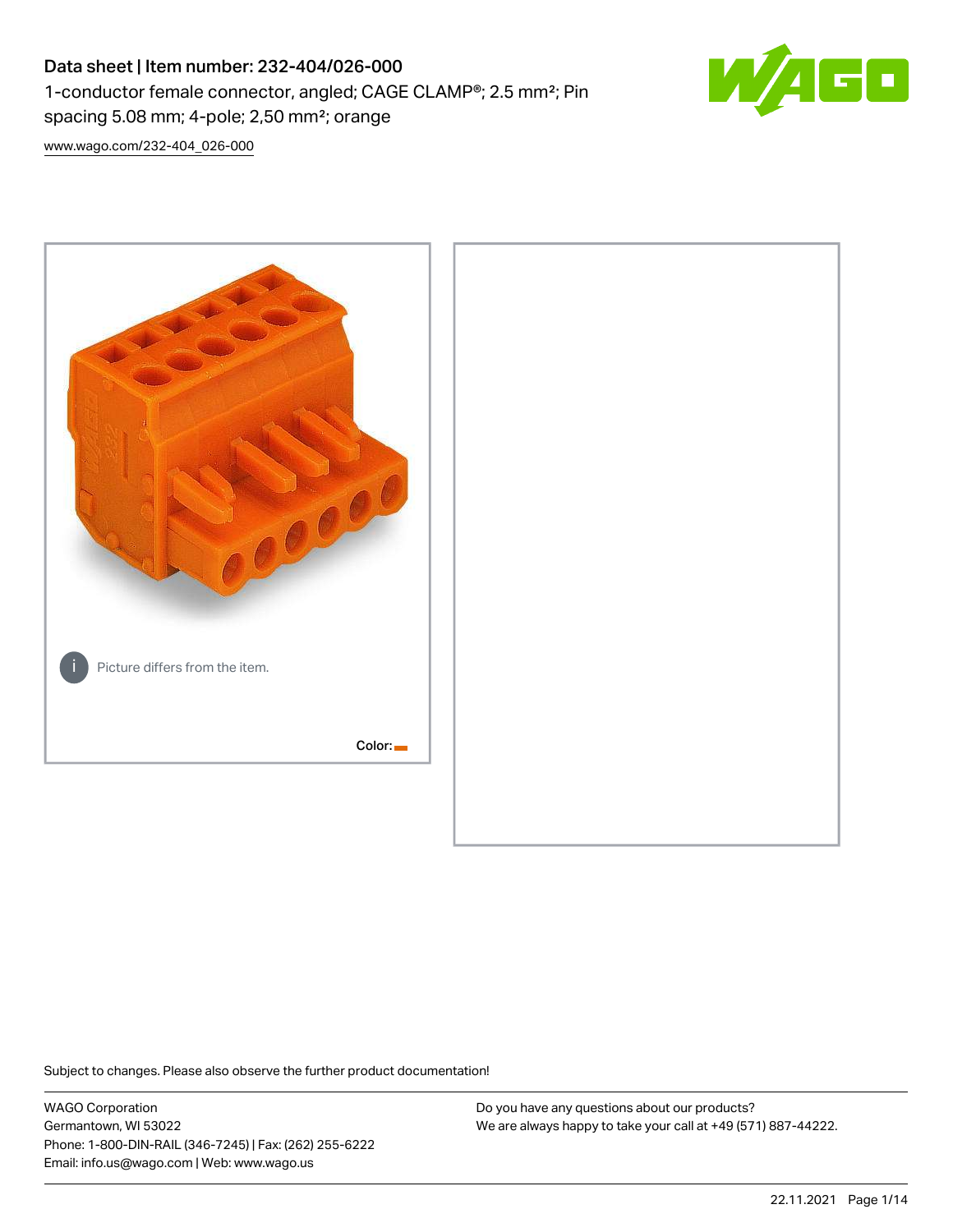# Data sheet | Item number: 232-404/026-000 1-conductor female connector, angled; CAGE CLAMP®; 2.5 mm²; Pin spacing 5.08 mm; 4-pole; 2,50 mm²; orange



[www.wago.com/232-404\\_026-000](http://www.wago.com/232-404_026-000)



Subject to changes. Please also observe the further product documentation!

WAGO Corporation Germantown, WI 53022 Phone: 1-800-DIN-RAIL (346-7245) | Fax: (262) 255-6222 Email: info.us@wago.com | Web: www.wago.us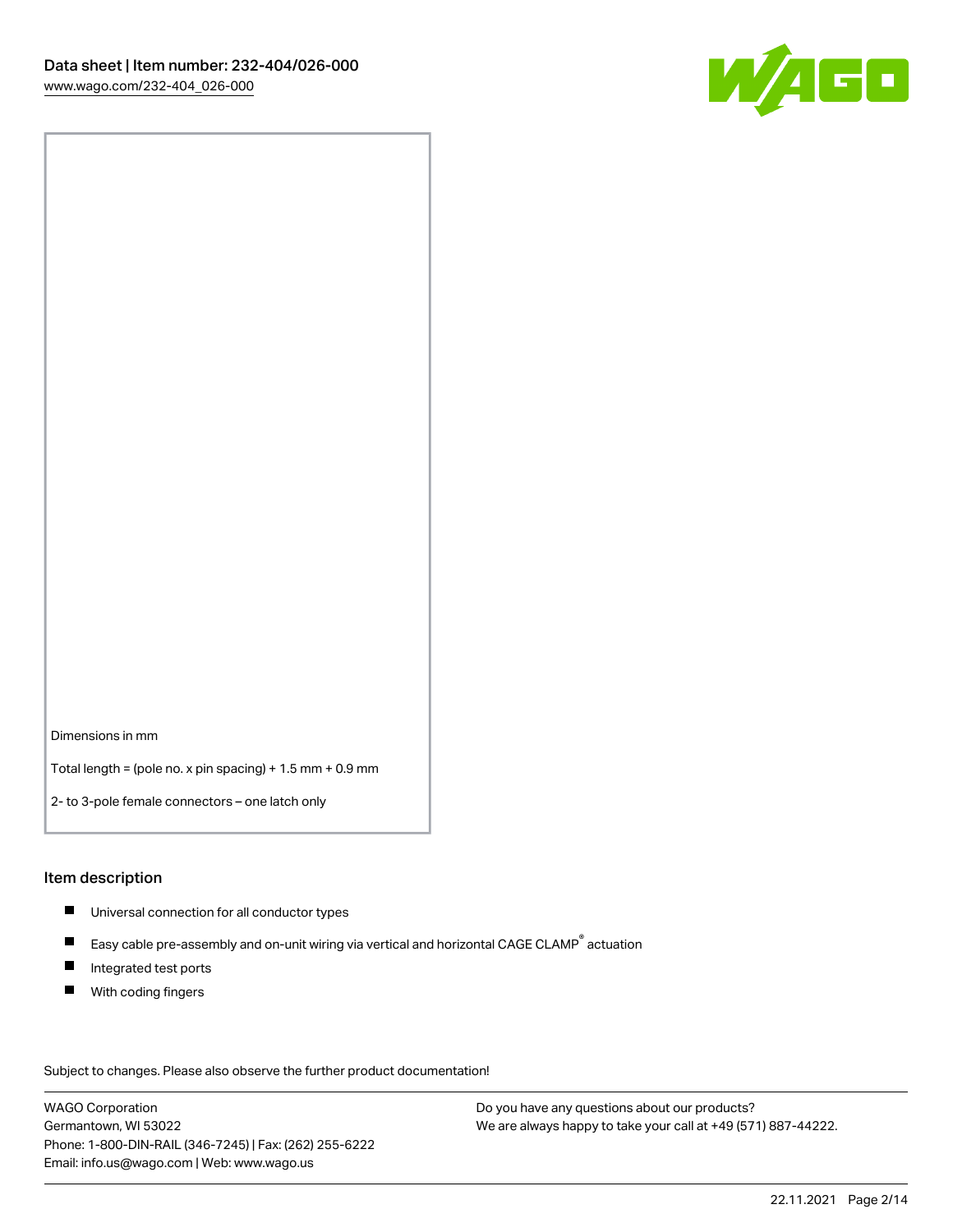

Dimensions in mm

Total length = (pole no. x pin spacing) + 1.5 mm + 0.9 mm

2- to 3-pole female connectors – one latch only

#### Item description

- **Universal connection for all conductor types**
- Easy cable pre-assembly and on-unit wiring via vertical and horizontal CAGE CLAMP<sup>®</sup> actuation  $\blacksquare$
- $\blacksquare$ Integrated test ports
- $\blacksquare$ With coding fingers

Subject to changes. Please also observe the further product documentation! Data

WAGO Corporation Germantown, WI 53022 Phone: 1-800-DIN-RAIL (346-7245) | Fax: (262) 255-6222 Email: info.us@wago.com | Web: www.wago.us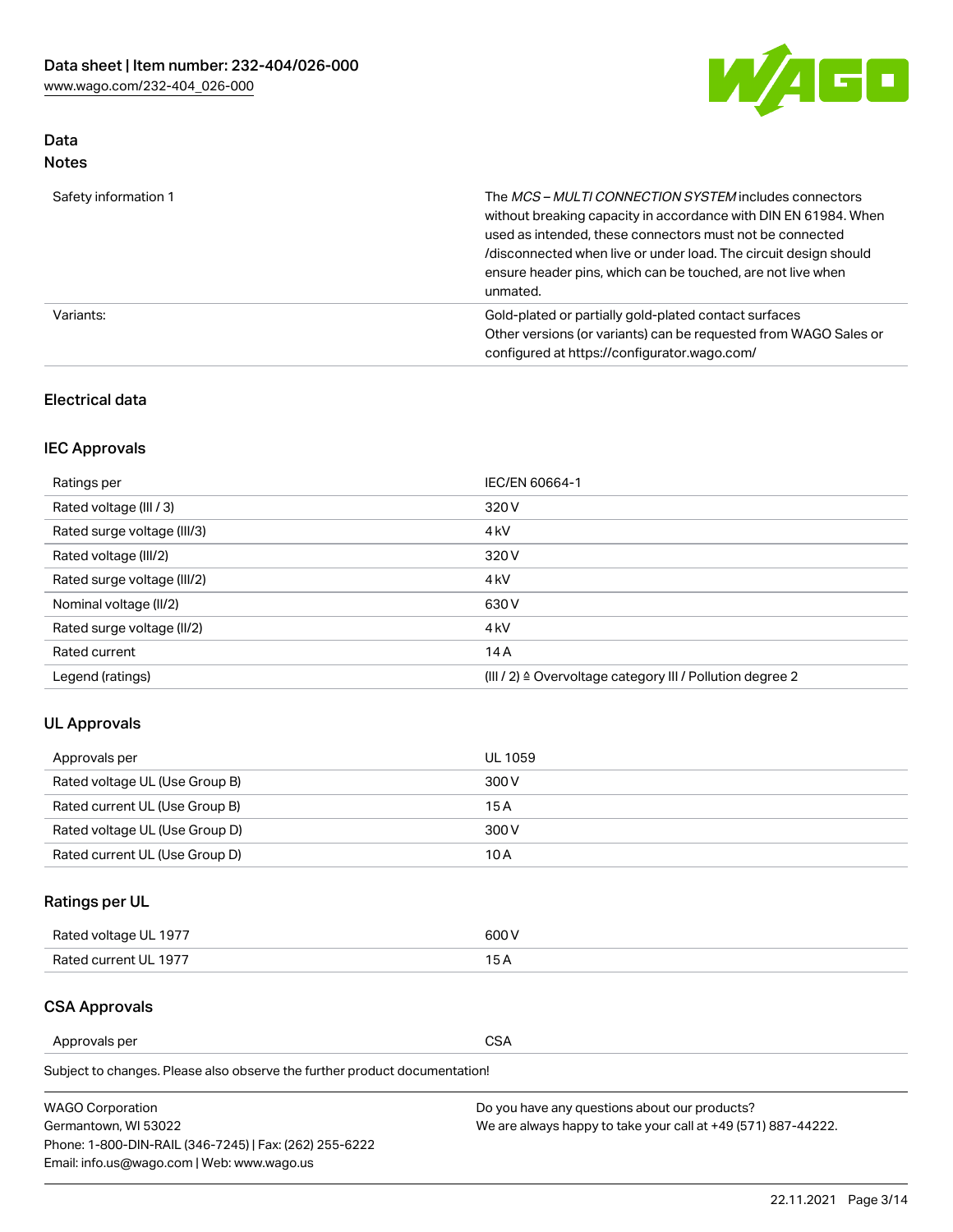

## Data Notes

| Safety information 1 | The MCS-MULTI CONNECTION SYSTEM includes connectors<br>without breaking capacity in accordance with DIN EN 61984. When<br>used as intended, these connectors must not be connected<br>/disconnected when live or under load. The circuit design should<br>ensure header pins, which can be touched, are not live when<br>unmated. |
|----------------------|-----------------------------------------------------------------------------------------------------------------------------------------------------------------------------------------------------------------------------------------------------------------------------------------------------------------------------------|
| Variants:            | Gold-plated or partially gold-plated contact surfaces<br>Other versions (or variants) can be requested from WAGO Sales or<br>configured at https://configurator.wago.com/                                                                                                                                                         |

### Electrical data

## IEC Approvals

| Ratings per                 | IEC/EN 60664-1                                                        |
|-----------------------------|-----------------------------------------------------------------------|
| Rated voltage (III / 3)     | 320 V                                                                 |
| Rated surge voltage (III/3) | 4 <sub>k</sub> V                                                      |
| Rated voltage (III/2)       | 320 V                                                                 |
| Rated surge voltage (III/2) | 4 <sub>k</sub> V                                                      |
| Nominal voltage (II/2)      | 630 V                                                                 |
| Rated surge voltage (II/2)  | 4 <sub>k</sub> V                                                      |
| Rated current               | 14A                                                                   |
| Legend (ratings)            | $(III / 2)$ $\triangle$ Overvoltage category III / Pollution degree 2 |

### UL Approvals

| Approvals per                  | UL 1059 |
|--------------------------------|---------|
| Rated voltage UL (Use Group B) | 300 V   |
| Rated current UL (Use Group B) | 15 A    |
| Rated voltage UL (Use Group D) | 300 V   |
| Rated current UL (Use Group D) | 10 A    |

## Ratings per UL

| Rated voltage UL 1977 | 300 V |
|-----------------------|-------|
| Rated current UL 1977 |       |

### CSA Approvals

Approvals per CSA

Subject to changes. Please also observe the further product documentation!

| <b>WAGO Corporation</b>                                | Do you have any questions about our products?                 |
|--------------------------------------------------------|---------------------------------------------------------------|
| Germantown, WI 53022                                   | We are always happy to take your call at +49 (571) 887-44222. |
| Phone: 1-800-DIN-RAIL (346-7245)   Fax: (262) 255-6222 |                                                               |
| Email: info.us@wago.com   Web: www.wago.us             |                                                               |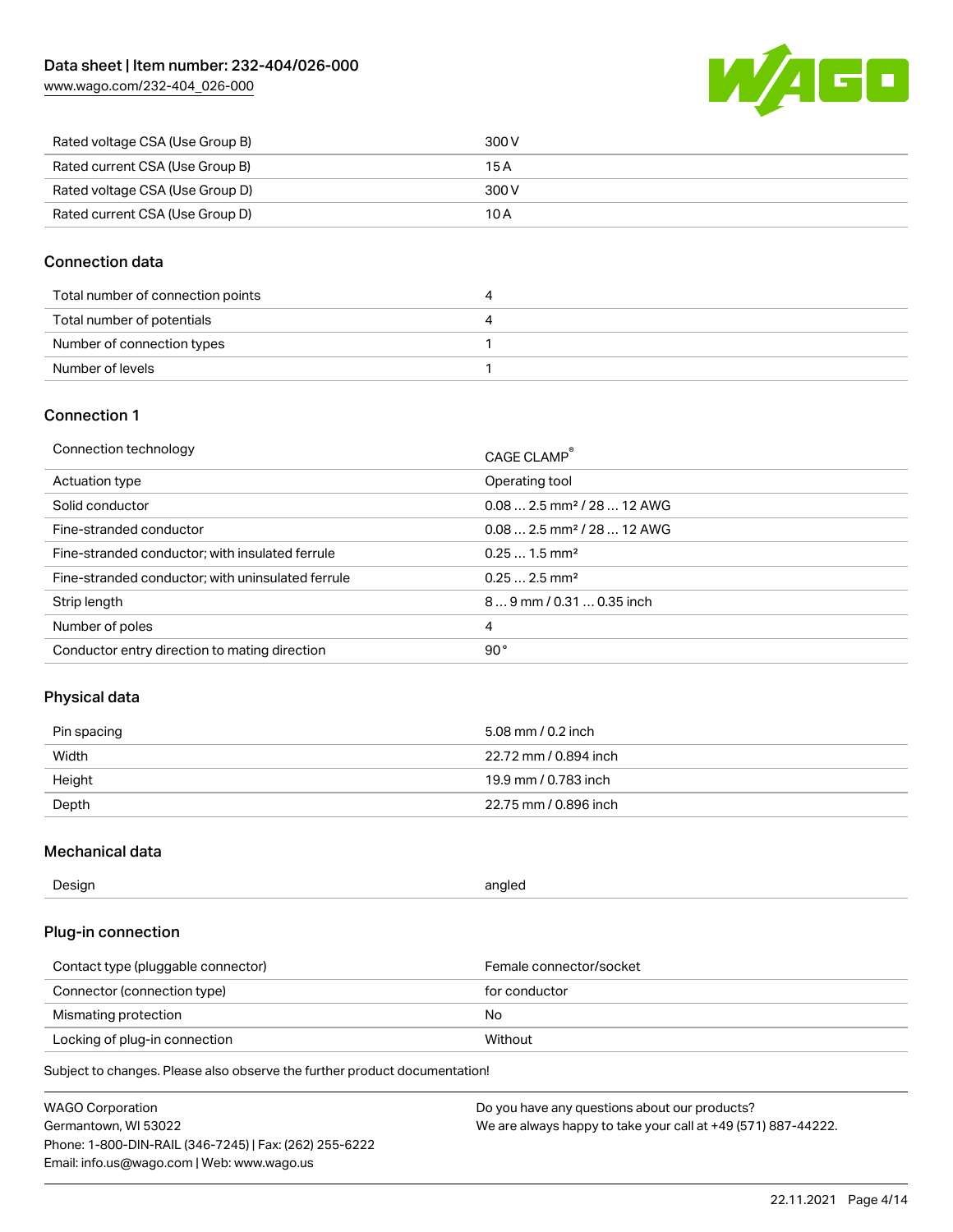[www.wago.com/232-404\\_026-000](http://www.wago.com/232-404_026-000)



| Rated voltage CSA (Use Group B) | 300 V |
|---------------------------------|-------|
| Rated current CSA (Use Group B) | 15 A  |
| Rated voltage CSA (Use Group D) | 300 V |
| Rated current CSA (Use Group D) | 10 A  |

#### Connection data

| Total number of connection points |  |
|-----------------------------------|--|
| Total number of potentials        |  |
| Number of connection types        |  |
| Number of levels                  |  |

#### Connection 1

| Connection technology                             | CAGE CLAMP <sup>®</sup>                 |
|---------------------------------------------------|-----------------------------------------|
| Actuation type                                    | Operating tool                          |
| Solid conductor                                   | $0.082.5$ mm <sup>2</sup> / 28  12 AWG  |
| Fine-stranded conductor                           | $0.08$ 2.5 mm <sup>2</sup> / 28  12 AWG |
| Fine-stranded conductor; with insulated ferrule   | $0.251.5$ mm <sup>2</sup>               |
| Fine-stranded conductor; with uninsulated ferrule | $0.252.5$ mm <sup>2</sup>               |
| Strip length                                      | 89 mm / 0.31  0.35 inch                 |
| Number of poles                                   | 4                                       |
| Conductor entry direction to mating direction     | 90°                                     |

### Physical data

| Pin spacing | 5.08 mm / 0.2 inch    |
|-------------|-----------------------|
| Width       | 22.72 mm / 0.894 inch |
| Height      | 19.9 mm / 0.783 inch  |
| Depth       | 22.75 mm / 0.896 inch |

### Mechanical data

| Design<br>angled |  |
|------------------|--|
|------------------|--|

## Plug-in connection

| Contact type (pluggable connector) | Female connector/socket |
|------------------------------------|-------------------------|
| Connector (connection type)        | for conductor           |
| Mismating protection               | No.                     |
| Locking of plug-in connection      | Without                 |

Subject to changes. Please also observe the further product documentation!

| <b>WAGO Corporation</b>                                | Do you have any questions about our products?                 |
|--------------------------------------------------------|---------------------------------------------------------------|
| Germantown, WI 53022                                   | We are always happy to take your call at +49 (571) 887-44222. |
| Phone: 1-800-DIN-RAIL (346-7245)   Fax: (262) 255-6222 |                                                               |
| Email: info.us@wago.com   Web: www.wago.us             |                                                               |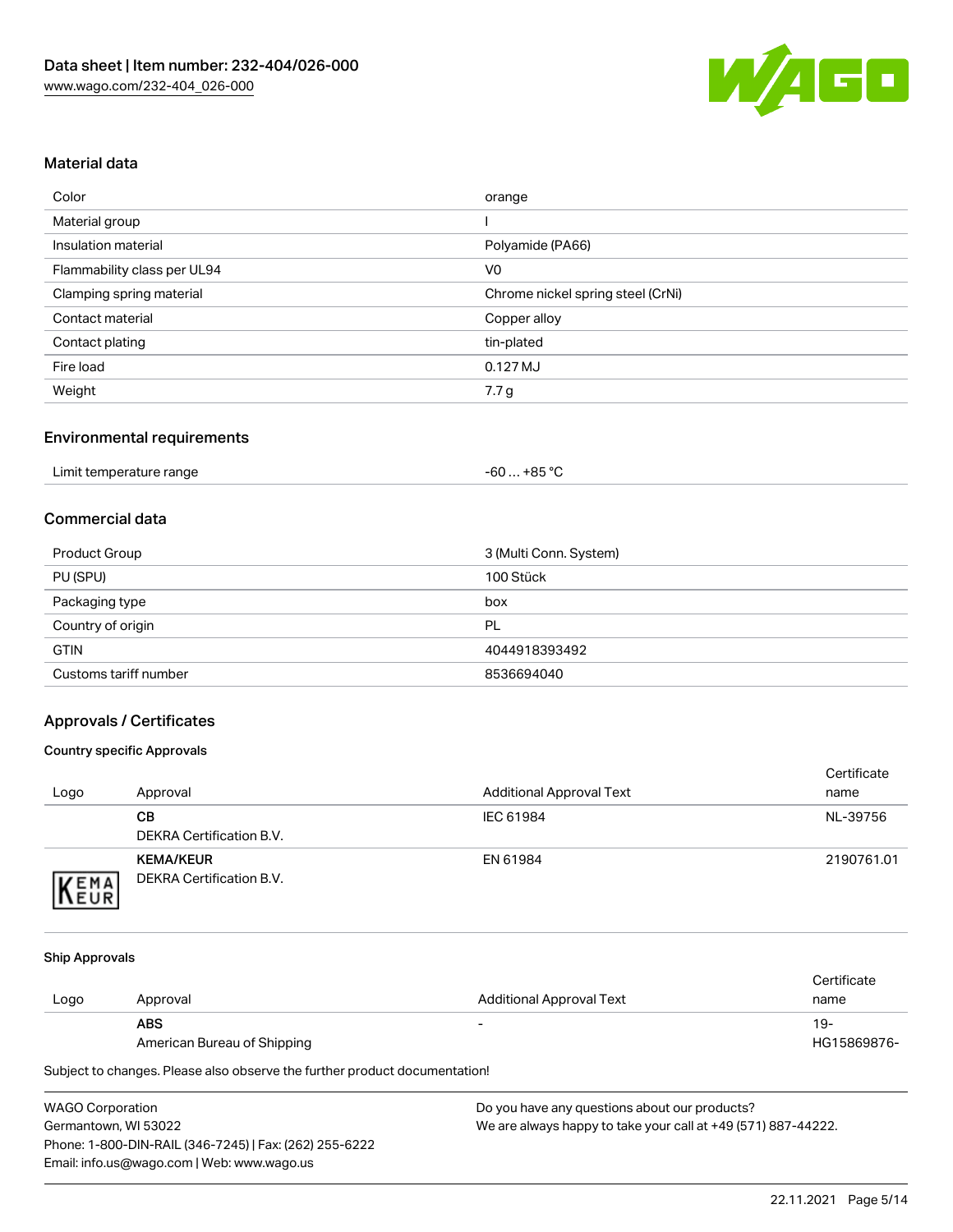

#### Material data

| Color                       | orange                            |
|-----------------------------|-----------------------------------|
| Material group              |                                   |
| Insulation material         | Polyamide (PA66)                  |
| Flammability class per UL94 | V <sub>0</sub>                    |
| Clamping spring material    | Chrome nickel spring steel (CrNi) |
| Contact material            | Copper alloy                      |
| Contact plating             | tin-plated                        |
| Fire load                   | $0.127$ MJ                        |
| Weight                      | 7.7 g                             |

#### Environmental requirements

| Limit temperature range<br>. | ∴ +85 °ົ<br>-60 |  |
|------------------------------|-----------------|--|
|------------------------------|-----------------|--|

#### Commercial data

| Product Group         | 3 (Multi Conn. System) |
|-----------------------|------------------------|
| PU (SPU)              | 100 Stück              |
| Packaging type        | box                    |
| Country of origin     | PL                     |
| <b>GTIN</b>           | 4044918393492          |
| Customs tariff number | 8536694040             |

### Approvals / Certificates

#### Country specific Approvals

| Logo                | Approval                                     | <b>Additional Approval Text</b> | Certificate<br>name |
|---------------------|----------------------------------------------|---------------------------------|---------------------|
|                     | CВ<br>DEKRA Certification B.V.               | IEC 61984                       | NL-39756            |
| EMA<br><b>INEUR</b> | <b>KEMA/KEUR</b><br>DEKRA Certification B.V. | EN 61984                        | 2190761.01          |

#### Ship Approvals

|      |                             |                          | Certificate |
|------|-----------------------------|--------------------------|-------------|
| Logo | Approval                    | Additional Approval Text | name        |
|      | <b>ABS</b>                  | $\overline{\phantom{0}}$ | 19-         |
|      | American Bureau of Shipping |                          | HG15869876- |

Subject to changes. Please also observe the further product documentation!

| <b>WAGO Corporation</b>                                | Do |
|--------------------------------------------------------|----|
| Germantown, WI 53022                                   | W، |
| Phone: 1-800-DIN-RAIL (346-7245)   Fax: (262) 255-6222 |    |
| Email: info.us@wago.com   Web: www.wago.us             |    |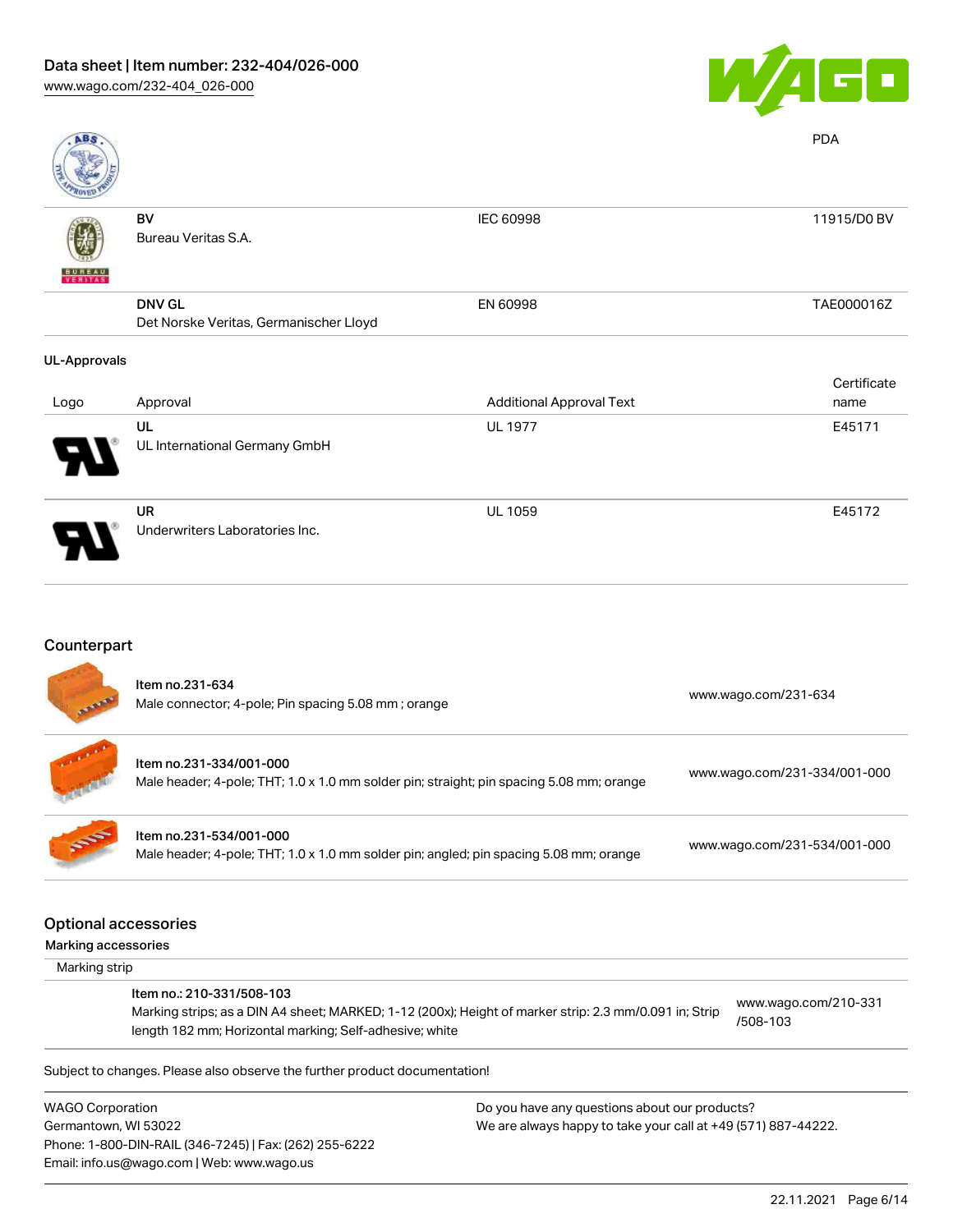

| <b>ABS</b>          |                                                         |                                 | <b>PDA</b>          |
|---------------------|---------------------------------------------------------|---------------------------------|---------------------|
| VERITAS             | BV<br>Bureau Veritas S.A.                               | <b>IEC 60998</b>                | 11915/D0 BV         |
|                     | <b>DNV GL</b><br>Det Norske Veritas, Germanischer Lloyd | EN 60998                        | TAE000016Z          |
| <b>UL-Approvals</b> |                                                         |                                 |                     |
|                     |                                                         |                                 | Certificate<br>name |
| Logo                | Approval                                                | <b>Additional Approval Text</b> |                     |
|                     | UL<br>UL International Germany GmbH                     | <b>UL 1977</b>                  | E45171              |
|                     | <b>UR</b><br>Underwriters Laboratories Inc.             | <b>UL 1059</b>                  | E45172              |

## Counterpart

Email: info.us@wago.com | Web: www.wago.us

|                         | Item no.231-634<br>Male connector; 4-pole; Pin spacing 5.08 mm; orange                                                                                            |                                               | www.wago.com/231-634         |
|-------------------------|-------------------------------------------------------------------------------------------------------------------------------------------------------------------|-----------------------------------------------|------------------------------|
|                         | Item no.231-334/001-000<br>Male header; 4-pole; THT; 1.0 x 1.0 mm solder pin; straight; pin spacing 5.08 mm; orange                                               |                                               | www.wago.com/231-334/001-000 |
|                         | Item no.231-534/001-000<br>Male header; 4-pole; THT; 1.0 x 1.0 mm solder pin; angled; pin spacing 5.08 mm; orange                                                 |                                               | www.wago.com/231-534/001-000 |
|                         | <b>Optional accessories</b>                                                                                                                                       |                                               |                              |
| Marking accessories     |                                                                                                                                                                   |                                               |                              |
| Marking strip           |                                                                                                                                                                   |                                               |                              |
|                         | Item no.: 210-331/508-103                                                                                                                                         |                                               | www.wago.com/210-331         |
|                         | Marking strips; as a DIN A4 sheet; MARKED; 1-12 (200x); Height of marker strip: 2.3 mm/0.091 in; Strip<br>length 182 mm; Horizontal marking; Self-adhesive; white |                                               | /508-103                     |
|                         | Subject to changes. Please also observe the further product documentation!                                                                                        |                                               |                              |
| <b>WAGO Corporation</b> |                                                                                                                                                                   | Do you have any questions about our products? |                              |
|                         | Germantown, WI 53022<br>We are always happy to take your call at +49 (571) 887-44222.                                                                             |                                               |                              |
|                         | Phone: 1-800-DIN-RAIL (346-7245)   Fax: (262) 255-6222                                                                                                            |                                               |                              |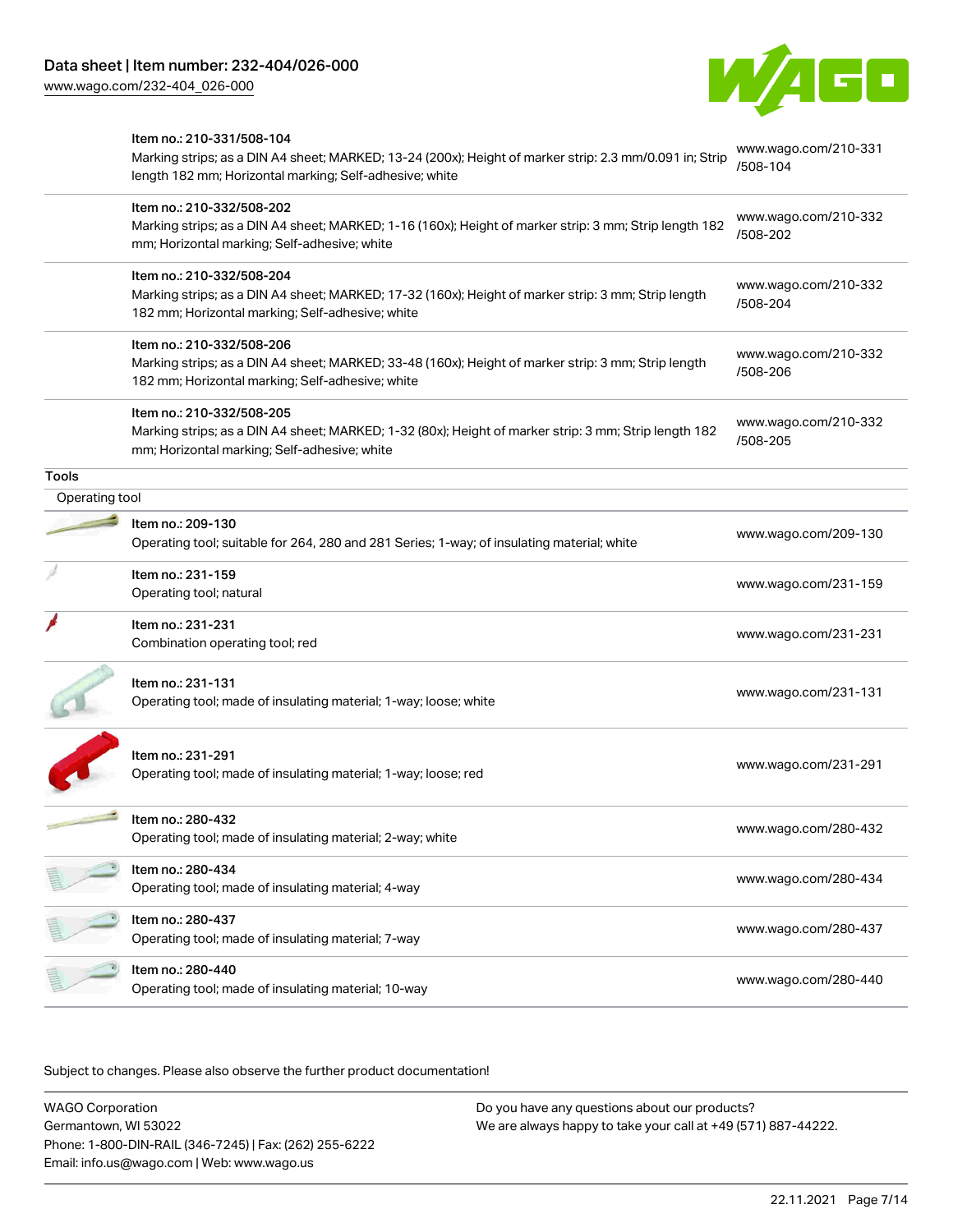



|                | Item no.: 210-331/508-104                                                                                                                                          | www.wago.com/210-331             |
|----------------|--------------------------------------------------------------------------------------------------------------------------------------------------------------------|----------------------------------|
|                | Marking strips; as a DIN A4 sheet; MARKED; 13-24 (200x); Height of marker strip: 2.3 mm/0.091 in; Strip<br>length 182 mm; Horizontal marking; Self-adhesive; white | /508-104                         |
|                | Item no.: 210-332/508-202                                                                                                                                          | www.wago.com/210-332             |
|                | Marking strips; as a DIN A4 sheet; MARKED; 1-16 (160x); Height of marker strip: 3 mm; Strip length 182<br>mm; Horizontal marking; Self-adhesive; white             | /508-202                         |
|                | Item no.: 210-332/508-204                                                                                                                                          | www.wago.com/210-332             |
|                | Marking strips; as a DIN A4 sheet; MARKED; 17-32 (160x); Height of marker strip: 3 mm; Strip length<br>182 mm; Horizontal marking; Self-adhesive; white            | /508-204                         |
|                | Item no.: 210-332/508-206                                                                                                                                          | www.wago.com/210-332             |
|                | Marking strips; as a DIN A4 sheet; MARKED; 33-48 (160x); Height of marker strip: 3 mm; Strip length<br>182 mm; Horizontal marking; Self-adhesive; white            | /508-206                         |
|                | Item no.: 210-332/508-205                                                                                                                                          |                                  |
|                | Marking strips; as a DIN A4 sheet; MARKED; 1-32 (80x); Height of marker strip: 3 mm; Strip length 182<br>mm; Horizontal marking; Self-adhesive; white              | www.wago.com/210-332<br>/508-205 |
| <b>Tools</b>   |                                                                                                                                                                    |                                  |
| Operating tool |                                                                                                                                                                    |                                  |
|                | Item no.: 209-130                                                                                                                                                  | www.wago.com/209-130             |
|                | Operating tool; suitable for 264, 280 and 281 Series; 1-way; of insulating material; white                                                                         |                                  |
|                | Item no.: 231-159<br>Operating tool; natural                                                                                                                       | www.wago.com/231-159             |
|                | Item no.: 231-231                                                                                                                                                  |                                  |
|                | Combination operating tool; red                                                                                                                                    | www.wago.com/231-231             |
|                | Item no.: 231-131                                                                                                                                                  |                                  |
|                | Operating tool; made of insulating material; 1-way; loose; white                                                                                                   | www.wago.com/231-131             |
|                |                                                                                                                                                                    |                                  |
|                | Item no.: 231-291<br>Operating tool; made of insulating material; 1-way; loose; red                                                                                | www.wago.com/231-291             |
|                | Item no.: 280-432                                                                                                                                                  |                                  |
|                | Operating tool; made of insulating material; 2-way; white                                                                                                          | www.wago.com/280-432             |
|                | Item no.: 280-434<br>Operating tool; made of insulating material; 4-way                                                                                            | www.wago.com/280-434             |
|                | Item no.: 280-437                                                                                                                                                  |                                  |
|                | Operating tool; made of insulating material; 7-way                                                                                                                 | www.wago.com/280-437             |
|                | Item no.: 280-440                                                                                                                                                  | www.wago.com/280-440             |
|                | Operating tool; made of insulating material; 10-way                                                                                                                |                                  |

Subject to changes. Please also observe the further product documentation!

WAGO Corporation Germantown, WI 53022 Phone: 1-800-DIN-RAIL (346-7245) | Fax: (262) 255-6222 Email: info.us@wago.com | Web: www.wago.us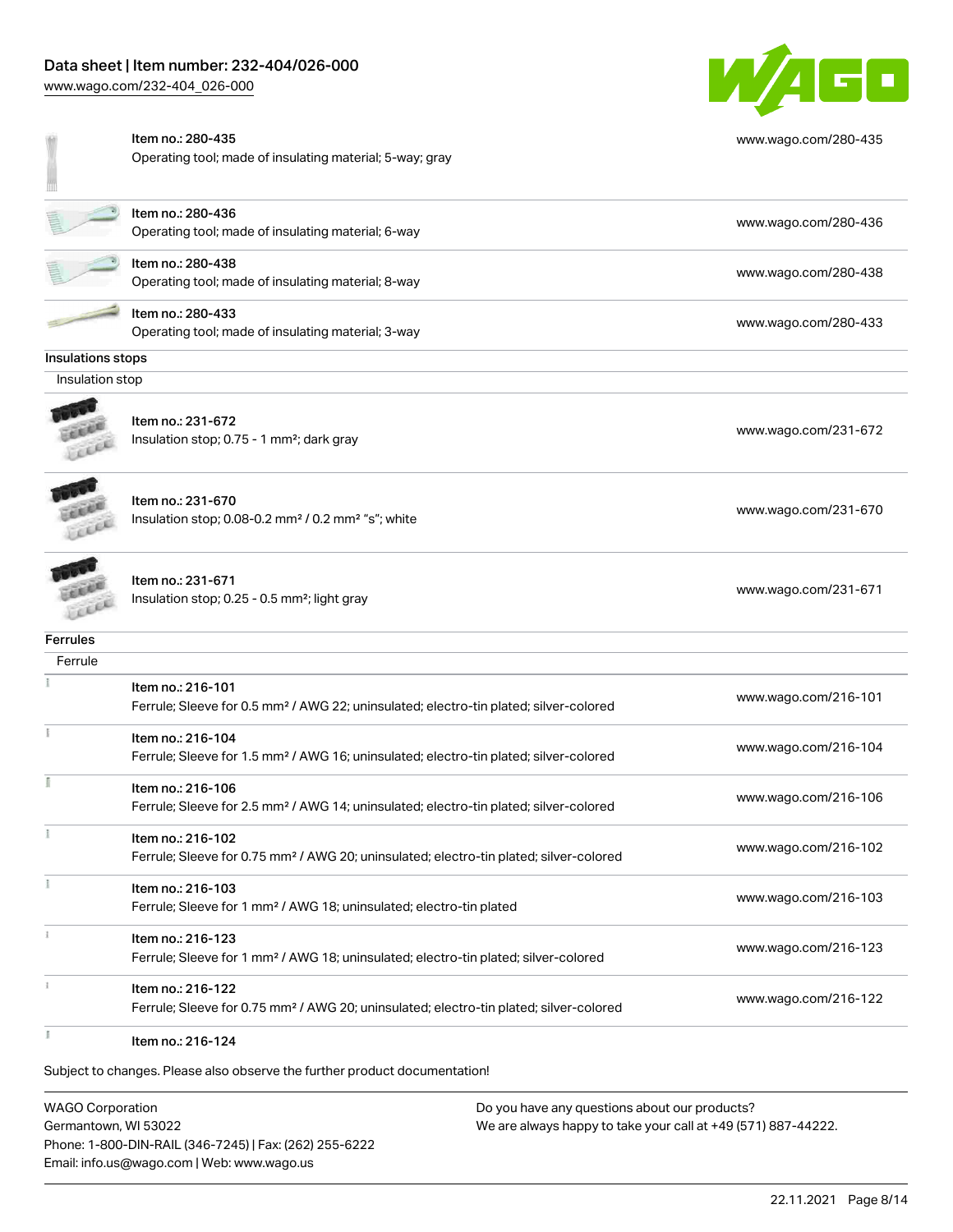## Data sheet | Item number: 232-404/026-000

Item no.: 280-435

[www.wago.com/232-404\\_026-000](http://www.wago.com/232-404_026-000)



[www.wago.com/280-435](http://www.wago.com/280-435)

[www.wago.com/280-436](http://www.wago.com/280-436)

[www.wago.com/280-438](http://www.wago.com/280-438)

[www.wago.com/280-433](http://www.wago.com/280-433)

W

|                   | Operating tool; made of insulating material; 5-way; gray                |
|-------------------|-------------------------------------------------------------------------|
|                   | Item no.: 280-436<br>Operating tool; made of insulating material; 6-way |
|                   | Item no.: 280-438<br>Operating tool; made of insulating material; 8-way |
|                   | Item no.: 280-433<br>Operating tool; made of insulating material; 3-way |
| Insulations stops |                                                                         |

#### Insulation stop



Item no.: 231-672 Insulation stop; 0.75 - 1 mm<sup>2</sup>; dark gray [www.wago.com/231-672](http://www.wago.com/231-672) www.wago.com/231-672



**COLLEGE** LEEEE Item no.: 231-670 Insulation stop; 0.08-0.2 mm<sup>2</sup> / 0.2 mm<sup>2</sup> "s"; white [www.wago.com/231-670](http://www.wago.com/231-670) www.wago.com/231-670

Item no.: 231-671 Insulation stop; 0.25 - 0.5 mm²; light gray [www.wago.com/231-671](http://www.wago.com/231-671)

### **Ferrules**

| Ferrule |                                                                                                    |                      |
|---------|----------------------------------------------------------------------------------------------------|----------------------|
|         | Item no.: 216-101                                                                                  |                      |
|         | Ferrule; Sleeve for 0.5 mm <sup>2</sup> / AWG 22; uninsulated; electro-tin plated; silver-colored  | www.wago.com/216-101 |
|         | Item no.: 216-104                                                                                  |                      |
|         | Ferrule; Sleeve for 1.5 mm <sup>2</sup> / AWG 16; uninsulated; electro-tin plated; silver-colored  | www.wago.com/216-104 |
|         | Item no.: 216-106                                                                                  |                      |
|         | Ferrule; Sleeve for 2.5 mm <sup>2</sup> / AWG 14; uninsulated; electro-tin plated; silver-colored  | www.wago.com/216-106 |
|         | Item no.: 216-102                                                                                  |                      |
|         | Ferrule; Sleeve for 0.75 mm <sup>2</sup> / AWG 20; uninsulated; electro-tin plated; silver-colored | www.wago.com/216-102 |
|         | Item no.: 216-103                                                                                  |                      |
|         | Ferrule; Sleeve for 1 mm <sup>2</sup> / AWG 18; uninsulated; electro-tin plated                    | www.wago.com/216-103 |
|         | Item no.: 216-123                                                                                  |                      |
|         | Ferrule; Sleeve for 1 mm <sup>2</sup> / AWG 18; uninsulated; electro-tin plated; silver-colored    | www.wago.com/216-123 |
|         | Item no.: 216-122                                                                                  |                      |
|         | Ferrule; Sleeve for 0.75 mm <sup>2</sup> / AWG 20; uninsulated; electro-tin plated; silver-colored | www.wago.com/216-122 |
|         | Item no.: 216-124                                                                                  |                      |

Subject to changes. Please also observe the further product documentation!

WAGO Corporation Germantown, WI 53022 Phone: 1-800-DIN-RAIL (346-7245) | Fax: (262) 255-6222 Email: info.us@wago.com | Web: www.wago.us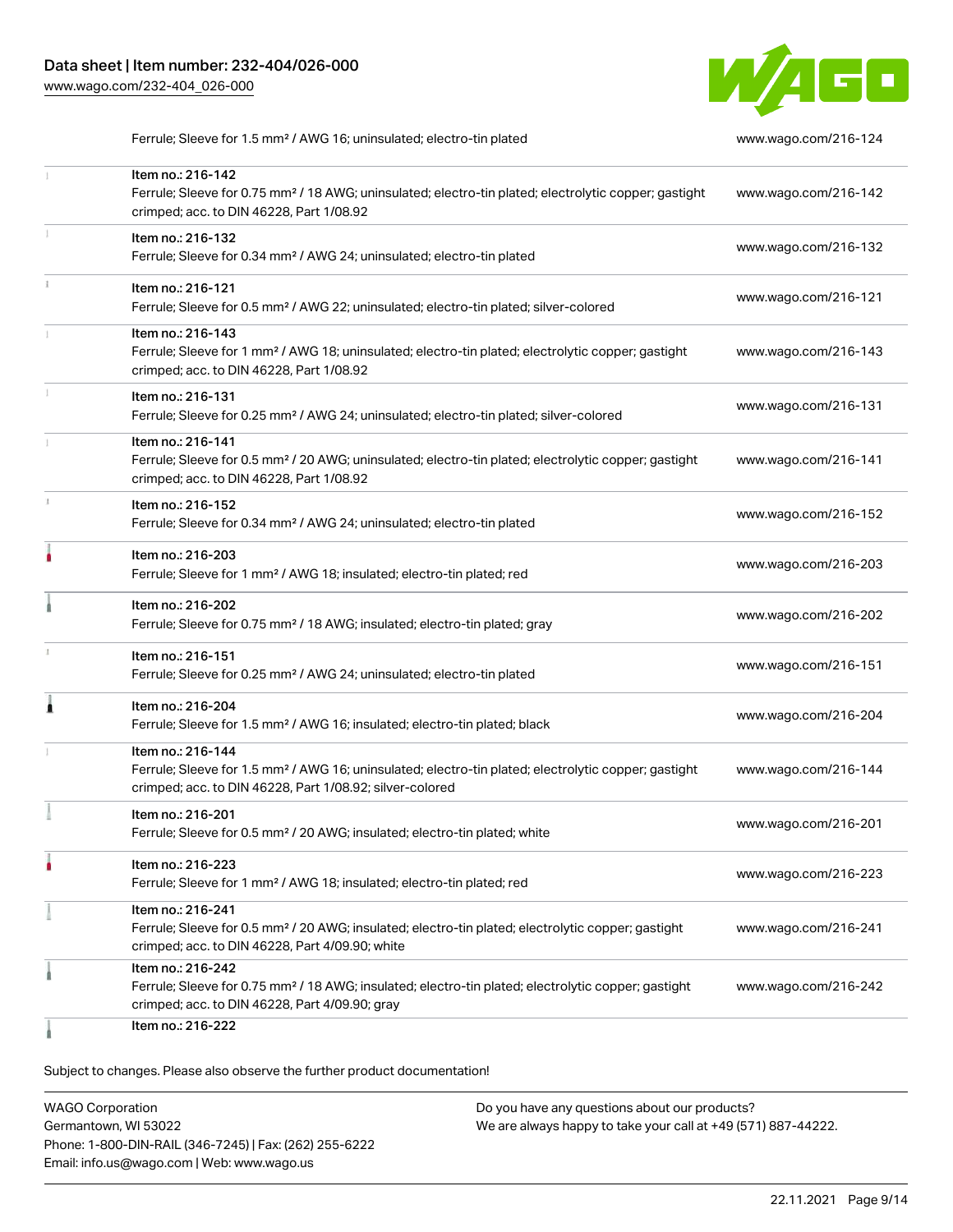

Ferrule; Sleeve for 1.5 mm² / AWG 16; uninsulated; electro-tin plated [www.wago.com/216-124](http://www.wago.com/216-124)

|   | Item no.: 216-142<br>Ferrule; Sleeve for 0.75 mm <sup>2</sup> / 18 AWG; uninsulated; electro-tin plated; electrolytic copper; gastight<br>crimped; acc. to DIN 46228, Part 1/08.92                | www.wago.com/216-142 |
|---|---------------------------------------------------------------------------------------------------------------------------------------------------------------------------------------------------|----------------------|
| 1 | Item no.: 216-132<br>Ferrule; Sleeve for 0.34 mm <sup>2</sup> / AWG 24; uninsulated; electro-tin plated                                                                                           | www.wago.com/216-132 |
|   | Item no.: 216-121<br>Ferrule; Sleeve for 0.5 mm <sup>2</sup> / AWG 22; uninsulated; electro-tin plated; silver-colored                                                                            | www.wago.com/216-121 |
|   | Item no.: 216-143<br>Ferrule; Sleeve for 1 mm <sup>2</sup> / AWG 18; uninsulated; electro-tin plated; electrolytic copper; gastight<br>crimped; acc. to DIN 46228, Part 1/08.92                   | www.wago.com/216-143 |
|   | Item no.: 216-131<br>Ferrule; Sleeve for 0.25 mm <sup>2</sup> / AWG 24; uninsulated; electro-tin plated; silver-colored                                                                           | www.wago.com/216-131 |
|   | Item no.: 216-141<br>Ferrule; Sleeve for 0.5 mm <sup>2</sup> / 20 AWG; uninsulated; electro-tin plated; electrolytic copper; gastight<br>crimped; acc. to DIN 46228, Part 1/08.92                 | www.wago.com/216-141 |
|   | Item no.: 216-152<br>Ferrule; Sleeve for 0.34 mm <sup>2</sup> / AWG 24; uninsulated; electro-tin plated                                                                                           | www.wago.com/216-152 |
|   | Item no.: 216-203<br>Ferrule; Sleeve for 1 mm <sup>2</sup> / AWG 18; insulated; electro-tin plated; red                                                                                           | www.wago.com/216-203 |
|   | Item no.: 216-202<br>Ferrule; Sleeve for 0.75 mm <sup>2</sup> / 18 AWG; insulated; electro-tin plated; gray                                                                                       | www.wago.com/216-202 |
|   | Item no.: 216-151<br>Ferrule; Sleeve for 0.25 mm <sup>2</sup> / AWG 24; uninsulated; electro-tin plated                                                                                           | www.wago.com/216-151 |
|   | Item no.: 216-204<br>Ferrule; Sleeve for 1.5 mm <sup>2</sup> / AWG 16; insulated; electro-tin plated; black                                                                                       | www.wago.com/216-204 |
|   | Item no.: 216-144<br>Ferrule; Sleeve for 1.5 mm <sup>2</sup> / AWG 16; uninsulated; electro-tin plated; electrolytic copper; gastight<br>crimped; acc. to DIN 46228, Part 1/08.92; silver-colored | www.wago.com/216-144 |
|   | Item no.: 216-201<br>Ferrule; Sleeve for 0.5 mm <sup>2</sup> / 20 AWG; insulated; electro-tin plated; white                                                                                       | www.wago.com/216-201 |
|   | Item no.: 216-223<br>Ferrule; Sleeve for 1 mm <sup>2</sup> / AWG 18; insulated; electro-tin plated; red                                                                                           | www.wago.com/216-223 |
|   | Item no.: 216-241<br>Ferrule; Sleeve for 0.5 mm <sup>2</sup> / 20 AWG; insulated; electro-tin plated; electrolytic copper; gastight<br>crimped; acc. to DIN 46228, Part 4/09.90; white            | www.wago.com/216-241 |
|   | Item no.: 216-242<br>Ferrule; Sleeve for 0.75 mm <sup>2</sup> / 18 AWG; insulated; electro-tin plated; electrolytic copper; gastight<br>crimped; acc. to DIN 46228, Part 4/09.90; gray            | www.wago.com/216-242 |
|   | Item no.: 216-222                                                                                                                                                                                 |                      |

Subject to changes. Please also observe the further product documentation!

WAGO Corporation Germantown, WI 53022 Phone: 1-800-DIN-RAIL (346-7245) | Fax: (262) 255-6222 Email: info.us@wago.com | Web: www.wago.us Do you have any questions about our products? We are always happy to take your call at +49 (571) 887-44222.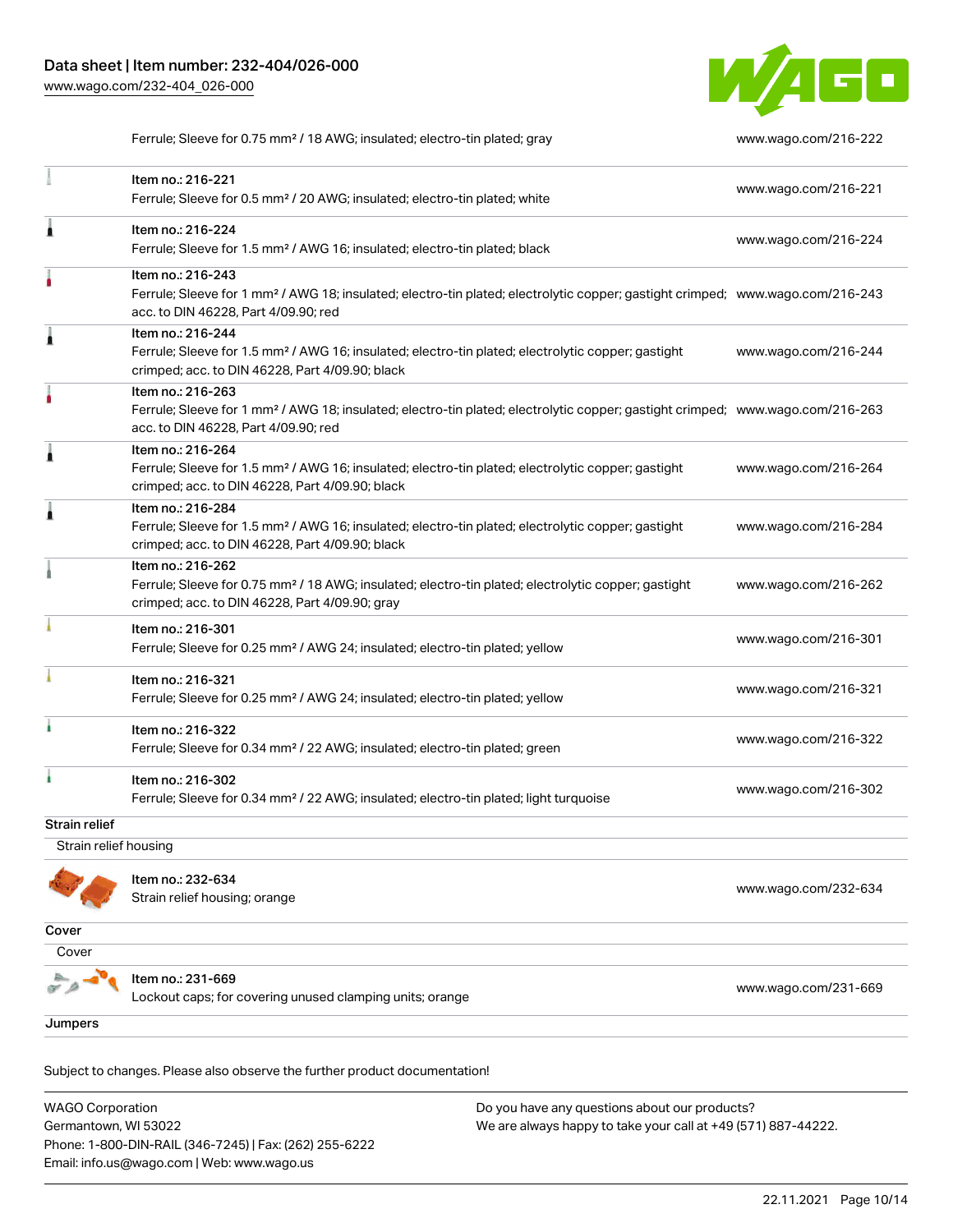Item no.: 216-221

1



Ferrule; Sleeve for 0.75 mm² / 18 AWG; insulated; electro-tin plated; gray [www.wago.com/216-222](http://www.wago.com/216-222)

|                       | Item no.: 216-224<br>Ferrule; Sleeve for 1.5 mm <sup>2</sup> / AWG 16; insulated; electro-tin plated; black                                                                                             | www.wago.com/216-224 |
|-----------------------|---------------------------------------------------------------------------------------------------------------------------------------------------------------------------------------------------------|----------------------|
|                       |                                                                                                                                                                                                         |                      |
|                       | Item no.: 216-243<br>Ferrule; Sleeve for 1 mm <sup>2</sup> / AWG 18; insulated; electro-tin plated; electrolytic copper; gastight crimped; www.wago.com/216-243<br>acc. to DIN 46228, Part 4/09.90; red |                      |
| 1                     | Item no.: 216-244<br>Ferrule; Sleeve for 1.5 mm <sup>2</sup> / AWG 16; insulated; electro-tin plated; electrolytic copper; gastight<br>crimped; acc. to DIN 46228, Part 4/09.90; black                  | www.wago.com/216-244 |
|                       | Item no.: 216-263<br>Ferrule; Sleeve for 1 mm <sup>2</sup> / AWG 18; insulated; electro-tin plated; electrolytic copper; gastight crimped; www.wago.com/216-263<br>acc. to DIN 46228, Part 4/09.90; red |                      |
| 1                     | Item no.: 216-264<br>Ferrule; Sleeve for 1.5 mm <sup>2</sup> / AWG 16; insulated; electro-tin plated; electrolytic copper; gastight<br>crimped; acc. to DIN 46228, Part 4/09.90; black                  | www.wago.com/216-264 |
| 1                     | Item no.: 216-284<br>Ferrule; Sleeve for 1.5 mm <sup>2</sup> / AWG 16; insulated; electro-tin plated; electrolytic copper; gastight<br>crimped; acc. to DIN 46228, Part 4/09.90; black                  | www.wago.com/216-284 |
|                       | Item no.: 216-262<br>Ferrule; Sleeve for 0.75 mm <sup>2</sup> / 18 AWG; insulated; electro-tin plated; electrolytic copper; gastight<br>crimped; acc. to DIN 46228, Part 4/09.90; gray                  | www.wago.com/216-262 |
|                       | Item no.: 216-301<br>Ferrule; Sleeve for 0.25 mm <sup>2</sup> / AWG 24; insulated; electro-tin plated; yellow                                                                                           | www.wago.com/216-301 |
|                       | Item no.: 216-321<br>Ferrule; Sleeve for 0.25 mm <sup>2</sup> / AWG 24; insulated; electro-tin plated; yellow                                                                                           | www.wago.com/216-321 |
|                       | Item no.: 216-322<br>Ferrule; Sleeve for 0.34 mm <sup>2</sup> / 22 AWG; insulated; electro-tin plated; green                                                                                            | www.wago.com/216-322 |
| ł.                    | Item no.: 216-302<br>Ferrule; Sleeve for 0.34 mm <sup>2</sup> / 22 AWG; insulated; electro-tin plated; light turquoise                                                                                  | www.wago.com/216-302 |
| Strain relief         |                                                                                                                                                                                                         |                      |
| Strain relief housing |                                                                                                                                                                                                         |                      |
|                       | Item no.: 232-634<br>Strain relief housing; orange                                                                                                                                                      | www.wago.com/232-634 |
| Cover                 |                                                                                                                                                                                                         |                      |
| Cover                 |                                                                                                                                                                                                         |                      |
|                       | Item no.: 231-669<br>Lockout caps; for covering unused clamping units; orange                                                                                                                           | www.wago.com/231-669 |
| Jumpers               |                                                                                                                                                                                                         |                      |
|                       |                                                                                                                                                                                                         |                      |

Ferrule; Sleeve for 0.5 mm² / 20 AWG; insulated; electro-tin plated; white [www.wago.com/216-221](http://www.wago.com/216-221)

Subject to changes. Please also observe the further product documentation! Jumper

WAGO Corporation Germantown, WI 53022 Phone: 1-800-DIN-RAIL (346-7245) | Fax: (262) 255-6222 Email: info.us@wago.com | Web: www.wago.us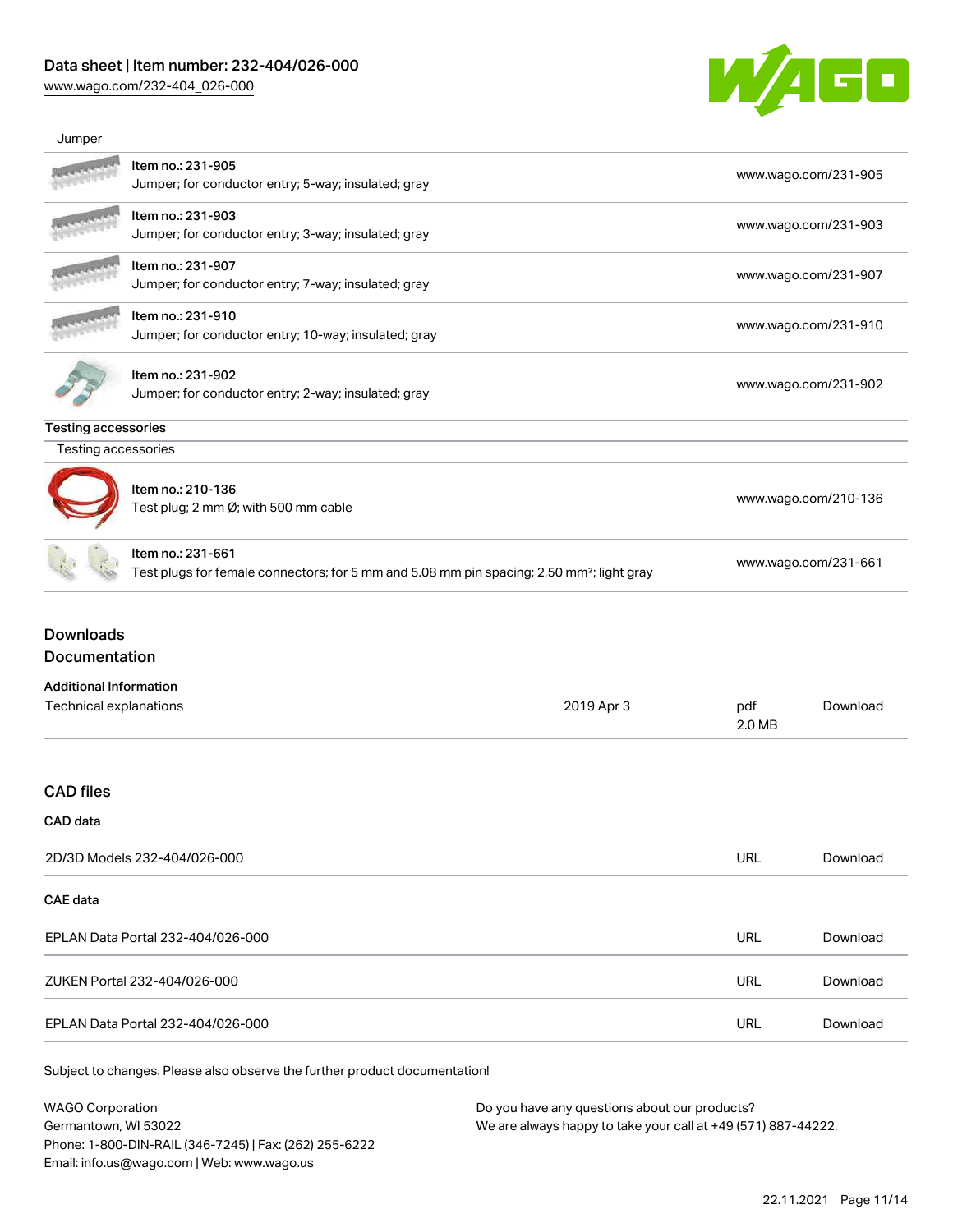### Data sheet | Item number: 232-404/026-000

Phone: 1-800-DIN-RAIL (346-7245) | Fax: (262) 255-6222

Email: info.us@wago.com | Web: www.wago.us

[www.wago.com/232-404\\_026-000](http://www.wago.com/232-404_026-000)



| Jumper                                                                   |                                                                                                                            |                                                                                                                |                      |                      |  |
|--------------------------------------------------------------------------|----------------------------------------------------------------------------------------------------------------------------|----------------------------------------------------------------------------------------------------------------|----------------------|----------------------|--|
|                                                                          | Item no.: 231-905<br>Jumper; for conductor entry; 5-way; insulated; gray                                                   |                                                                                                                |                      | www.wago.com/231-905 |  |
|                                                                          | Item no.: 231-903<br>Jumper; for conductor entry; 3-way; insulated; gray                                                   |                                                                                                                | www.wago.com/231-903 |                      |  |
|                                                                          | Item no.: 231-907<br>Jumper; for conductor entry; 7-way; insulated; gray                                                   |                                                                                                                | www.wago.com/231-907 |                      |  |
|                                                                          | Item no.: 231-910<br>Jumper; for conductor entry; 10-way; insulated; gray                                                  |                                                                                                                | www.wago.com/231-910 |                      |  |
|                                                                          | Item no.: 231-902<br>Jumper; for conductor entry; 2-way; insulated; gray                                                   |                                                                                                                | www.wago.com/231-902 |                      |  |
| <b>Testing accessories</b>                                               |                                                                                                                            |                                                                                                                |                      |                      |  |
| Testing accessories                                                      |                                                                                                                            |                                                                                                                |                      |                      |  |
|                                                                          | Item no.: 210-136<br>Test plug; 2 mm Ø; with 500 mm cable                                                                  |                                                                                                                |                      | www.wago.com/210-136 |  |
|                                                                          | Item no.: 231-661<br>Test plugs for female connectors; for 5 mm and 5.08 mm pin spacing; 2,50 mm <sup>2</sup> ; light gray |                                                                                                                | www.wago.com/231-661 |                      |  |
| Documentation<br><b>Additional Information</b><br>Technical explanations |                                                                                                                            | 2019 Apr 3                                                                                                     | pdf<br>2.0 MB        | Download             |  |
| <b>CAD files</b>                                                         |                                                                                                                            |                                                                                                                |                      |                      |  |
| CAD data                                                                 |                                                                                                                            |                                                                                                                |                      |                      |  |
| 2D/3D Models 232-404/026-000                                             |                                                                                                                            |                                                                                                                | <b>URL</b>           | Download             |  |
| <b>CAE</b> data                                                          |                                                                                                                            |                                                                                                                |                      |                      |  |
|                                                                          | EPLAN Data Portal 232-404/026-000                                                                                          |                                                                                                                | <b>URL</b>           | Download             |  |
|                                                                          | ZUKEN Portal 232-404/026-000                                                                                               |                                                                                                                | <b>URL</b>           | Download             |  |
|                                                                          | EPLAN Data Portal 232-404/026-000                                                                                          |                                                                                                                | <b>URL</b>           | Download             |  |
|                                                                          | Subject to changes. Please also observe the further product documentation!                                                 |                                                                                                                |                      |                      |  |
| <b>WAGO Corporation</b><br>Germantown, WI 53022                          |                                                                                                                            | Do you have any questions about our products?<br>We are always happy to take your call at +49 (571) 887-44222. |                      |                      |  |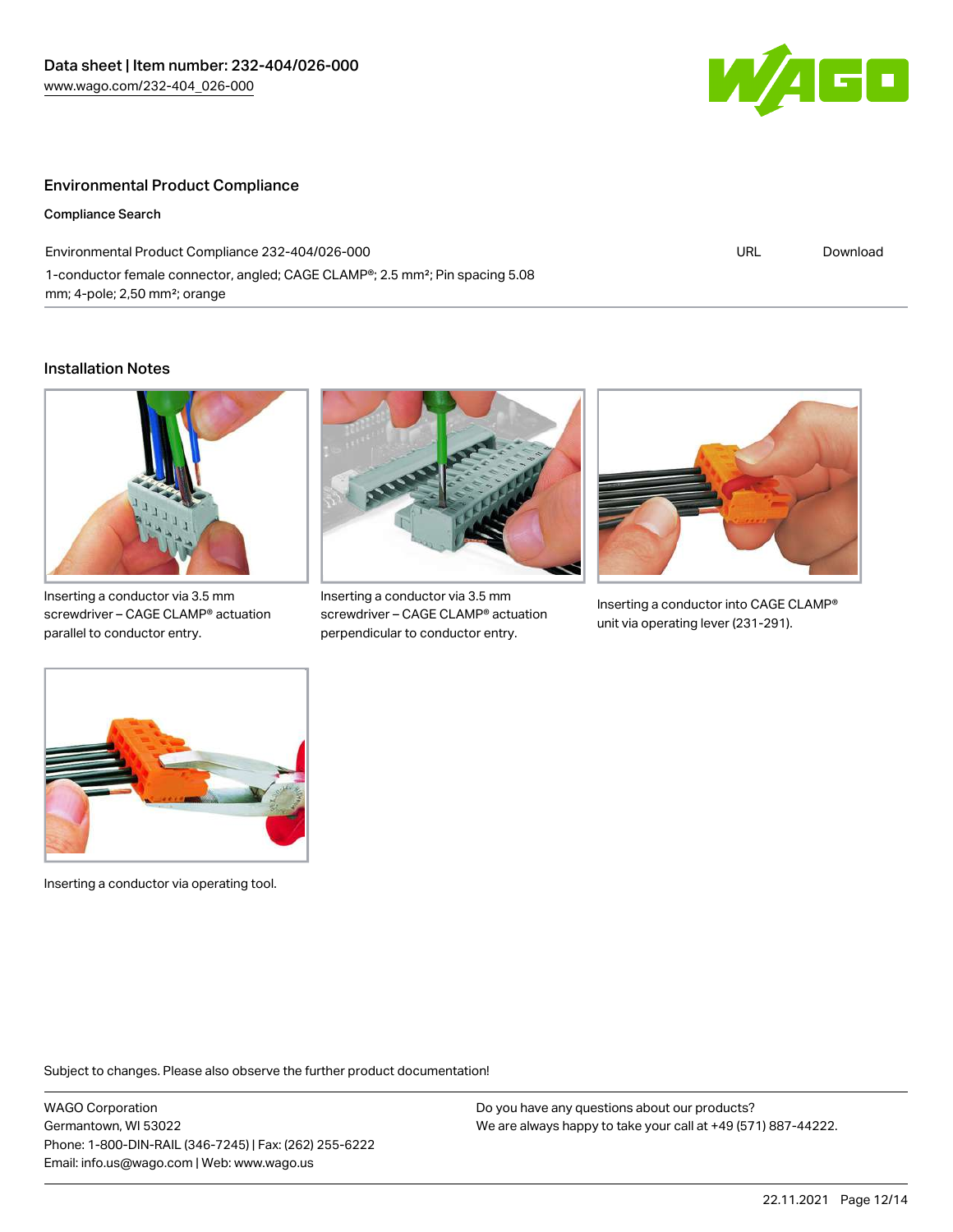

#### Environmental Product Compliance

Compliance Search

Environmental Product Compliance 232-404/026-000 1-conductor female connector, angled; CAGE CLAMP®; 2.5 mm²; Pin spacing 5.08 mm; 4-pole; 2,50 mm²; orange

URL [Download](https://www.wago.com/global/d/ComplianceLinkMediaContainer_232-404_026-000)

#### Installation Notes



Inserting a conductor via 3.5 mm screwdriver – CAGE CLAMP® actuation parallel to conductor entry.



Inserting a conductor via 3.5 mm screwdriver – CAGE CLAMP® actuation perpendicular to conductor entry.



Inserting a conductor into CAGE CLAMP® unit via operating lever (231-291).



Inserting a conductor via operating tool.

Subject to changes. Please also observe the further product documentation!

WAGO Corporation Germantown, WI 53022 Phone: 1-800-DIN-RAIL (346-7245) | Fax: (262) 255-6222 Email: info.us@wago.com | Web: www.wago.us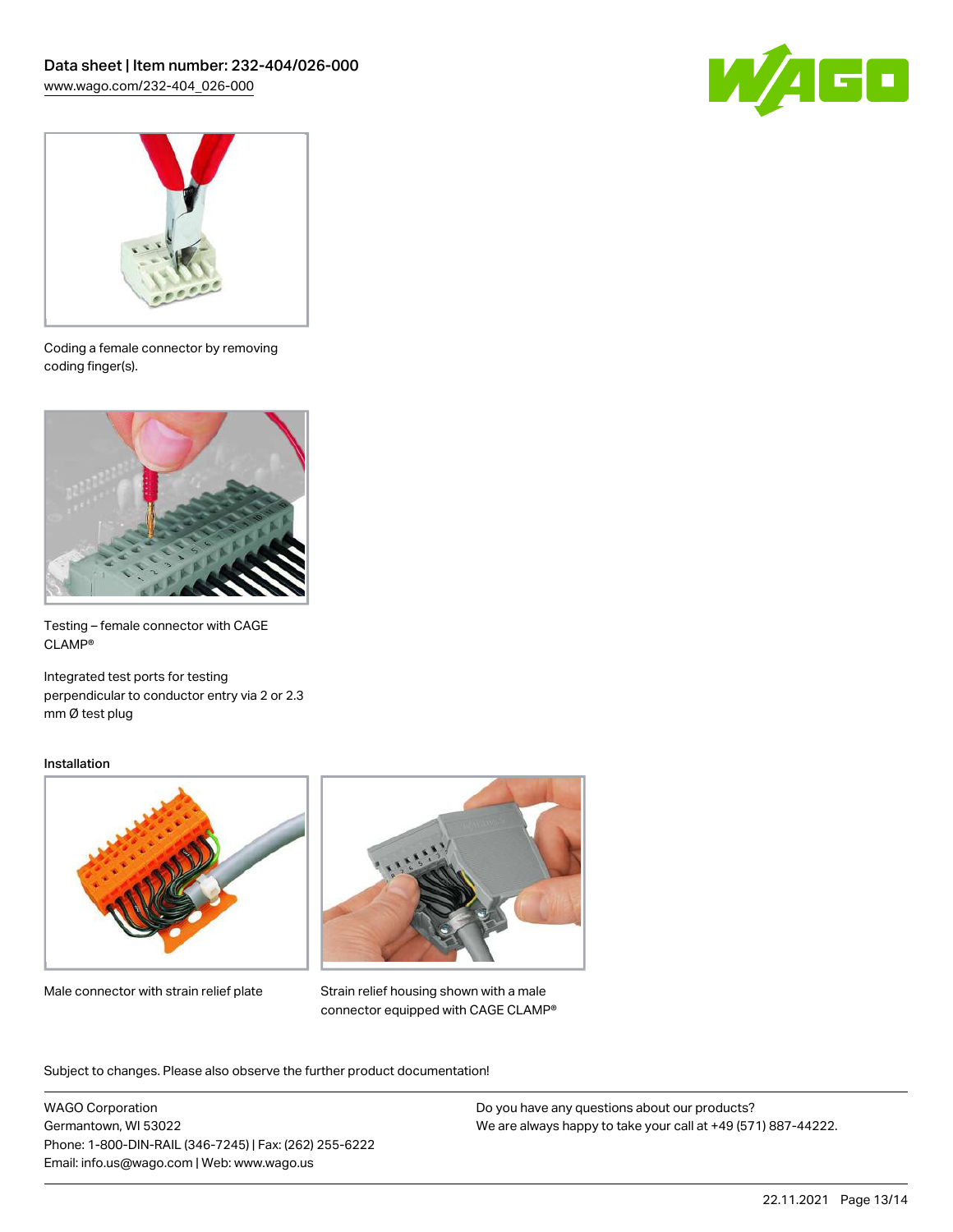



Coding a female connector by removing coding finger(s).



Testing – female connector with CAGE CLAMP®

Integrated test ports for testing perpendicular to conductor entry via 2 or 2.3 mm Ø test plug

#### Installation



Male connector with strain relief plate



Strain relief housing shown with a male connector equipped with CAGE CLAMP®

Subject to changes. Please also observe the further product documentation!

WAGO Corporation Germantown, WI 53022 Phone: 1-800-DIN-RAIL (346-7245) | Fax: (262) 255-6222 Email: info.us@wago.com | Web: www.wago.us